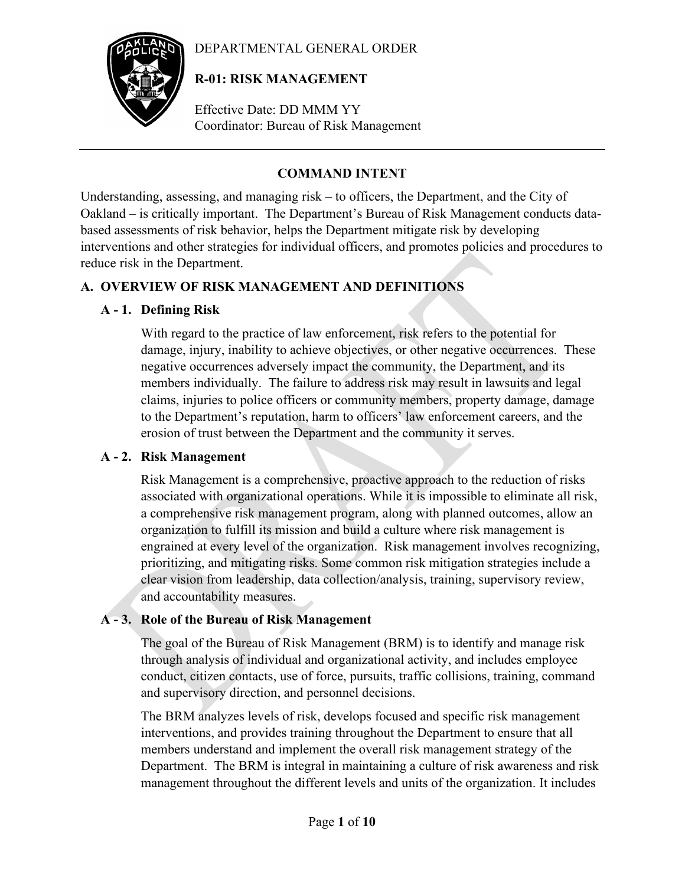### DEPARTMENTAL GENERAL ORDER



# **R-01: RISK MANAGEMENT**

Effective Date: DD MMM YY Coordinator: Bureau of Risk Management

# **COMMAND INTENT**

Understanding, assessing, and managing risk – to officers, the Department, and the City of Oakland – is critically important. The Department's Bureau of Risk Management conducts databased assessments of risk behavior, helps the Department mitigate risk by developing interventions and other strategies for individual officers, and promotes policies and procedures to reduce risk in the Department.

# **A. OVERVIEW OF RISK MANAGEMENT AND DEFINITIONS**

## **A - 1. Defining Risk**

With regard to the practice of law enforcement, risk refers to the potential for damage, injury, inability to achieve objectives, or other negative occurrences. These negative occurrences adversely impact the community, the Department, and its members individually. The failure to address risk may result in lawsuits and legal claims, injuries to police officers or community members, property damage, damage to the Department's reputation, harm to officers' law enforcement careers, and the erosion of trust between the Department and the community it serves.

### **A - 2. Risk Management**

Risk Management is a comprehensive, proactive approach to the reduction of risks associated with organizational operations. While it is impossible to eliminate all risk, a comprehensive risk management program, along with planned outcomes, allow an organization to fulfill its mission and build a culture where risk management is engrained at every level of the organization. Risk management involves recognizing, prioritizing, and mitigating risks. Some common risk mitigation strategies include a clear vision from leadership, data collection/analysis, training, supervisory review, and accountability measures.

# **A - 3. Role of the Bureau of Risk Management**

The goal of the Bureau of Risk Management (BRM) is to identify and manage risk through analysis of individual and organizational activity, and includes employee conduct, citizen contacts, use of force, pursuits, traffic collisions, training, command and supervisory direction, and personnel decisions.

The BRM analyzes levels of risk, develops focused and specific risk management interventions, and provides training throughout the Department to ensure that all members understand and implement the overall risk management strategy of the Department. The BRM is integral in maintaining a culture of risk awareness and risk management throughout the different levels and units of the organization. It includes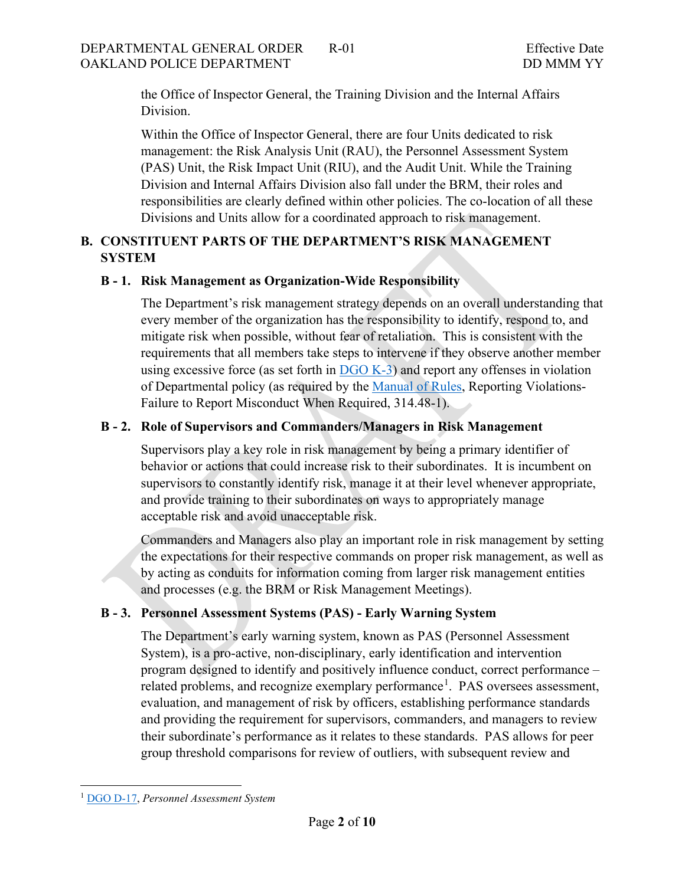the Office of Inspector General, the Training Division and the Internal Affairs Division.

Within the Office of Inspector General, there are four Units dedicated to risk management: the Risk Analysis Unit (RAU), the Personnel Assessment System (PAS) Unit, the Risk Impact Unit (RIU), and the Audit Unit. While the Training Division and Internal Affairs Division also fall under the BRM, their roles and responsibilities are clearly defined within other policies. The co-location of all these Divisions and Units allow for a coordinated approach to risk management.

# **B. CONSTITUENT PARTS OF THE DEPARTMENT'S RISK MANAGEMENT SYSTEM**

## **B - 1. Risk Management as Organization-Wide Responsibility**

The Department's risk management strategy depends on an overall understanding that every member of the organization has the responsibility to identify, respond to, and mitigate risk when possible, without fear of retaliation. This is consistent with the requirements that all members take steps to intervene if they observe another member using excessive force (as set forth in  $DGO K-3$ ) and report any offenses in violation of Departmental policy (as required by the [Manual of Rules,](https://public.powerdms.com/OAKLAND/tree/documents/463) Reporting Violations-Failure to Report Misconduct When Required, 314.48-1).

# **B - 2. Role of Supervisors and Commanders/Managers in Risk Management**

Supervisors play a key role in risk management by being a primary identifier of behavior or actions that could increase risk to their subordinates. It is incumbent on supervisors to constantly identify risk, manage it at their level whenever appropriate, and provide training to their subordinates on ways to appropriately manage acceptable risk and avoid unacceptable risk.

Commanders and Managers also play an important role in risk management by setting the expectations for their respective commands on proper risk management, as well as by acting as conduits for information coming from larger risk management entities and processes (e.g. the BRM or Risk Management Meetings).

# **B - 3. Personnel Assessment Systems (PAS) - Early Warning System**

The Department's early warning system, known as PAS (Personnel Assessment System), is a pro-active, non-disciplinary, early identification and intervention program designed to identify and positively influence conduct, correct performance – related problems, and recognize exemplary performance<sup>[1](#page-1-0)</sup>. PAS oversees assessment, evaluation, and management of risk by officers, establishing performance standards and providing the requirement for supervisors, commanders, and managers to review their subordinate's performance as it relates to these standards. PAS allows for peer group threshold comparisons for review of outliers, with subsequent review and

<span id="page-1-0"></span><sup>1</sup> [DGO D-17,](https://public.powerdms.com/OAKLAND/documents/107) *Personnel Assessment System*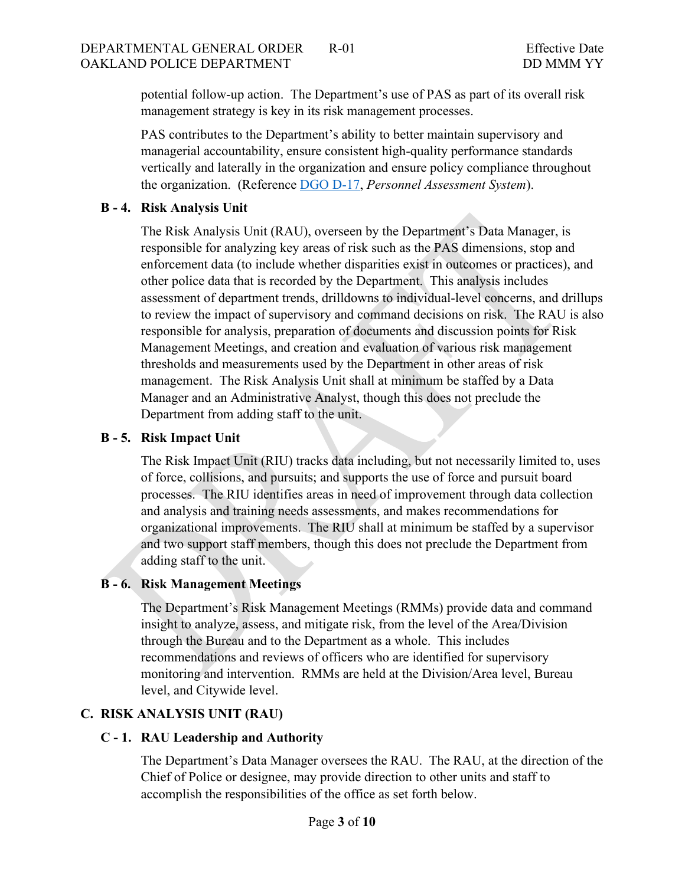potential follow-up action. The Department's use of PAS as part of its overall risk management strategy is key in its risk management processes.

PAS contributes to the Department's ability to better maintain supervisory and managerial accountability, ensure consistent high-quality performance standards vertically and laterally in the organization and ensure policy compliance throughout the organization. (Reference [DGO D-17,](https://public.powerdms.com/OAKLAND/documents/107) *Personnel Assessment System*).

### **B - 4. Risk Analysis Unit**

The Risk Analysis Unit (RAU), overseen by the Department's Data Manager, is responsible for analyzing key areas of risk such as the PAS dimensions, stop and enforcement data (to include whether disparities exist in outcomes or practices), and other police data that is recorded by the Department. This analysis includes assessment of department trends, drilldowns to individual-level concerns, and drillups to review the impact of supervisory and command decisions on risk. The RAU is also responsible for analysis, preparation of documents and discussion points for Risk Management Meetings, and creation and evaluation of various risk management thresholds and measurements used by the Department in other areas of risk management. The Risk Analysis Unit shall at minimum be staffed by a Data Manager and an Administrative Analyst, though this does not preclude the Department from adding staff to the unit.

## **B - 5. Risk Impact Unit**

The Risk Impact Unit (RIU) tracks data including, but not necessarily limited to, uses of force, collisions, and pursuits; and supports the use of force and pursuit board processes. The RIU identifies areas in need of improvement through data collection and analysis and training needs assessments, and makes recommendations for organizational improvements. The RIU shall at minimum be staffed by a supervisor and two support staff members, though this does not preclude the Department from adding staff to the unit.

### **B - 6. Risk Management Meetings**

The Department's Risk Management Meetings (RMMs) provide data and command insight to analyze, assess, and mitigate risk, from the level of the Area/Division through the Bureau and to the Department as a whole. This includes recommendations and reviews of officers who are identified for supervisory monitoring and intervention. RMMs are held at the Division/Area level, Bureau level, and Citywide level.

# **C. RISK ANALYSIS UNIT (RAU)**

### **C - 1. RAU Leadership and Authority**

The Department's Data Manager oversees the RAU. The RAU, at the direction of the Chief of Police or designee, may provide direction to other units and staff to accomplish the responsibilities of the office as set forth below.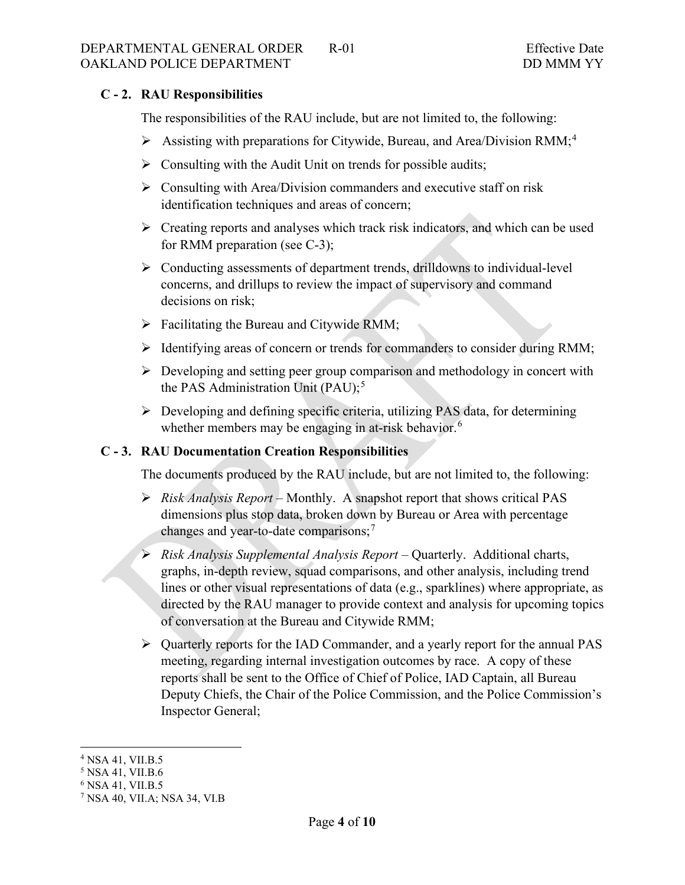### **C - 2. RAU Responsibilities**

The responsibilities of the RAU include, but are not limited to, the following:

- $\triangleright$  Assisting with preparations [for](#page-3-0) Citywide, Bureau, and Area/Division RMM;<sup>[4](#page-3-1)</sup>
- $\triangleright$  Consulting with the Audit Unit on trends for possible audits;
- $\triangleright$  Consulting with Area/Division commanders and executive staff on risk identification techniques and areas of concern;
- $\triangleright$  Creating reports and analyses which track risk indicators, and which can be used for RMM preparation (see C-3);
- Conducting assessments of department trends, drilldowns to individual-level concerns, and drillups to review the impact of supervisory and command decisions on risk;
- $\triangleright$  Facilitating the Bureau and Citywide RMM;
- $\triangleright$  Identifying areas of concern or trends for commanders to consider during RMM;
- $\triangleright$  Developing and setting peer group comparison and methodology in concert with the PAS Administration Unit  $(PAU)$ ;<sup>[5](#page-3-2)</sup>
- Developing and defining specific criteria, utilizing PAS data, for determining whether members may be engaging in at-risk behavior.<sup>[6](#page-3-3)</sup>

### **C - 3. RAU Documentation Creation Responsibilities**

The documents produced by the RAU include, but are not limited to, the following:

- *Risk Analysis Report* Monthly. A snapshot report that shows critical PAS dimensions plus stop data, broken down by Bureau or Area with percentage changes and year-to-date comparisons;<sup>[7](#page-4-0)</sup>
- *Risk Analysis Supplemental Analysis Report* Quarterly. Additional charts, graphs, in-depth review, squad comparisons, and other analysis, including trend lines or other visual representations of data (e.g., sparklines) where appropriate, as directed by the RAU manager to provide context and analysis for upcoming topics of conversation at the Bureau and Citywide RMM;
- Quarterly reports for the IAD Commander, and a yearly report for the annual PAS meeting, regarding internal investigation outcomes by race. A copy of these reports shall be sent to the Office of Chief of Police, IAD Captain, all Bureau Deputy Chiefs, the Chair of the Police Commission, and the Police Commission's Inspector General;

<span id="page-3-0"></span><sup>4</sup> NSA 41, VII.B.5

<span id="page-3-1"></span><sup>5</sup> NSA 41, VII.B.6

<span id="page-3-2"></span><sup>&</sup>lt;sup>6</sup> NSA 41, VII.B.5

<span id="page-3-3"></span><sup>7</sup> NSA 40, VII.A; NSA 34, VI.B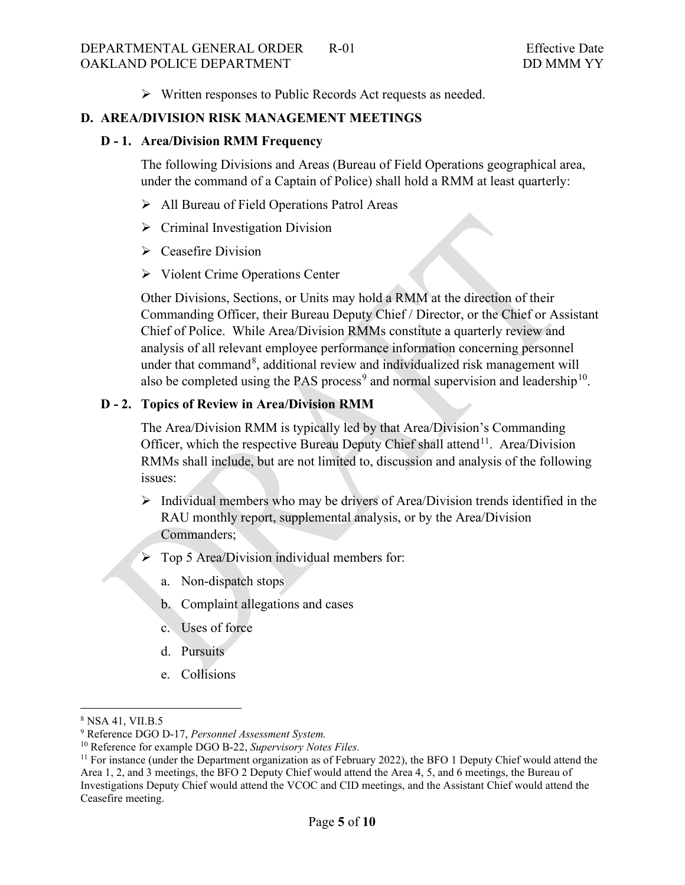Written responses to Public Records Act requests as needed.

#### **D. AREA/DIVISION RISK MANAGEMENT MEETINGS**

### **D - 1. Area/Division RMM Frequency**

The following Divisions and Areas (Bureau of Field Operations geographical area, under the command of a Captain of Police) shall hold a RMM at least quarterly:

- All Bureau of Field Operations Patrol Areas
- $\triangleright$  Criminal Investigation Division
- $\triangleright$  Ceasefire Division
- $\triangleright$  Violent Crime Operations Center

Other Divisions, Sections, or Units may hold a RMM at the direction of their Commanding Officer, their Bureau Deputy Chief / Director, or the Chief or Assistant Chief of Police. While Area/Division RMMs constitute a quarterly review and analysis of all relevant employee performance information concerning personnel under that command<sup>[8](#page-4-1)</sup>, additional review and individualized risk management will also be completed using the PAS process<sup>[9](#page-4-2)</sup> and normal supervision and leadership<sup>[10](#page-4-3)</sup>.

#### **D - 2. Topics of Review in Area/Division RMM**

The Area/Division RMM is typically led by that Area/Division's Commanding Officer, which the respective Bureau Deputy Chief shall attend<sup>11</sup>. Area/Division RMMs shall include, but are not limited to, discussion and analysis of the following issues:

- $\triangleright$  Individual members who may be drivers of Area/Division trends identified in the RAU monthly report, supplemental analysis, or by the Area/Division Commanders;
- $\triangleright$  Top 5 Area/Division individual members for:
	- a. Non-dispatch stops
	- b. Complaint allegations and cases
	- c. Uses of force
	- d. Pursuits
	- e. Collisions

<span id="page-4-0"></span><sup>8</sup> NSA 41, VII.B.5

<span id="page-4-2"></span><span id="page-4-1"></span><sup>9</sup> Reference DGO D-17, *Personnel Assessment System.*

<sup>10</sup> Reference for example DGO B-22, *Supervisory Notes Files.*

<span id="page-4-4"></span><span id="page-4-3"></span> $11$  For instance (under the Department organization as of February 2022), the BFO 1 Deputy Chief would attend the Area 1, 2, and 3 meetings, the BFO 2 Deputy Chief would attend the Area 4, 5, and 6 meetings, the Bureau of Investigations Deputy Chief would attend the VCOC and CID meetings, and the Assistant Chief would attend the Ceasefire meeting.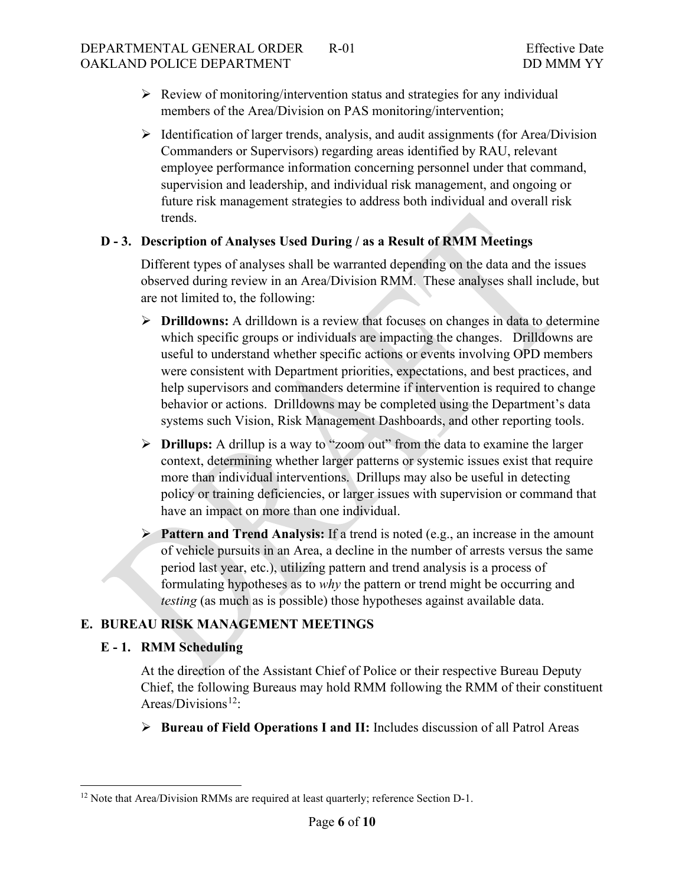### DEPARTMENTAL GENERAL ORDER R-01 Effective Date OAKLAND POLICE DEPARTMENT DO MODEL OF THE DOMMA YY

- $\triangleright$  Review of monitoring/intervention status and strategies for any individual members of the Area/Division on PAS monitoring/intervention;
- $\triangleright$  Identification of larger trends, analysis, and audit assignments (for Area/Division Commanders or Supervisors) regarding areas identified by RAU, relevant employee performance information concerning personnel under that command, supervision and leadership, and individual risk management, and ongoing or future risk management strategies to address both individual and overall risk trends.

# **D - 3. Description of Analyses Used During / as a Result of RMM Meetings**

Different types of analyses shall be warranted depending on the data and the issues observed during review in an Area/Division RMM. These analyses shall include, but are not limited to, the following:

- **Drilldowns:** A drilldown is a review that focuses on changes in data to determine which specific groups or individuals are impacting the changes. Drilldowns are useful to understand whether specific actions or events involving OPD members were consistent with Department priorities, expectations, and best practices, and help supervisors and commanders determine if intervention is required to change behavior or actions. Drilldowns may be completed using the Department's data systems such Vision, Risk Management Dashboards, and other reporting tools.
- **Drillups:** A drillup is a way to "zoom out" from the data to examine the larger context, determining whether larger patterns or systemic issues exist that require more than individual interventions. Drillups may also be useful in detecting policy or training deficiencies, or larger issues with supervision or command that have an impact on more than one individual.
- **Pattern and Trend Analysis:** If a trend is noted (e.g., an increase in the amount of vehicle pursuits in an Area, a decline in the number of arrests versus the same period last year, etc.), utilizing pattern and trend analysis is a process of formulating hypotheses as to *why* the pattern or trend might be occurring and *testing* (as much as is possible) those hypotheses against available data.

# **E. BUREAU RISK MANAGEMENT MEETINGS**

### **E - 1. RMM Scheduling**

At the direction of the Assistant Chief of Police or their respective Bureau Deputy Chief, the following Bureaus may hold RMM following the RMM of their constituent Areas/Divisions<sup>[12](#page-6-0)</sup>:

**Bureau of Field Operations I and II:** Includes discussion of all Patrol Areas

<sup>&</sup>lt;sup>12</sup> Note that Area/Division RMMs are required at least quarterly; reference Section D-1.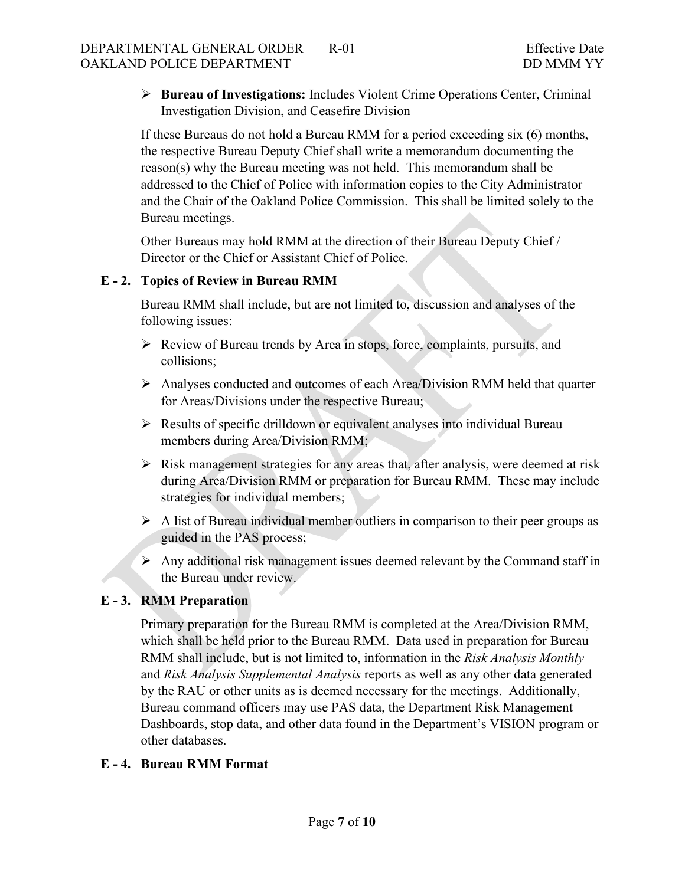**Bureau of Investigations:** Includes Violent Crime Operations Center, Criminal Investigation Division, and Ceasefire Division

If these Bureaus do not hold a Bureau RMM for a period exceeding six (6) months, the respective Bureau Deputy Chief shall write a memorandum documenting the reason(s) why the Bureau meeting was not held. This memorandum shall be addressed to the Chief of Police with information copies to the City Administrator and the Chair of the Oakland Police Commission. This shall be limited solely to the Bureau meetings.

Other Bureaus may hold RMM at the direction of their Bureau Deputy Chief / Director or the Chief or Assistant Chief of Police.

## **E - 2. Topics of Review in Bureau RMM**

Bureau RMM shall include, but are not limited to, discussion and analyses of the following issues:

- Review of Bureau trends by Area in stops, force, complaints, pursuits, and collisions;
- Analyses conducted and outcomes of each Area/Division RMM held that quarter for Areas/Divisions under the respective Bureau;
- $\triangleright$  Results of specific drilldown or equivalent analyses into individual Bureau members during Area/Division RMM;
- $\triangleright$  Risk management strategies for any areas that, after analysis, were deemed at risk during Area/Division RMM or preparation for Bureau RMM. These may include strategies for individual members;
- $\triangleright$  A list of Bureau individual member outliers in comparison to their peer groups as guided in the PAS process;
- $\triangleright$  Any additional risk management issues deemed relevant by the Command staff in the Bureau under review.

# **E - 3. RMM Preparation**

Primary preparation for the Bureau RMM is completed at the Area/Division RMM, which shall be held prior to the Bureau RMM. Data used in preparation for Bureau RMM shall include, but is not limited to, information in the *Risk Analysis Monthly*  and *Risk Analysis Supplemental Analysis* reports as well as any other data generated by the RAU or other units as is deemed necessary for the meetings. Additionally, Bureau command officers may use PAS data, the Department Risk Management Dashboards, stop data, and other data found in the Department's VISION program or other databases.

# <span id="page-6-0"></span>**E - 4. Bureau RMM Format**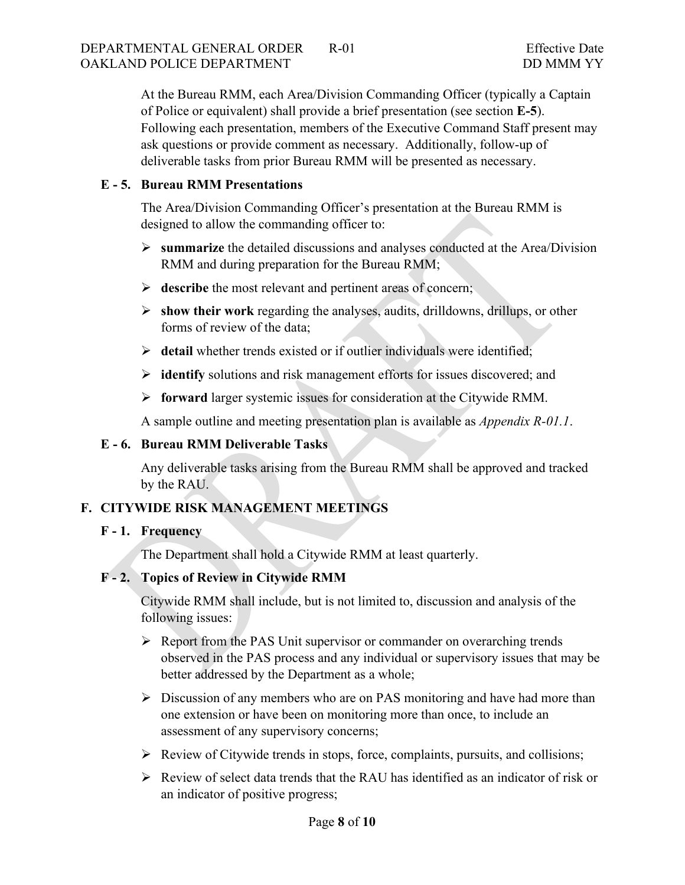At the Bureau RMM, each Area/Division Commanding Officer (typically a Captain of Police or equivalent) shall provide a brief presentation (see section **E-5**). Following each presentation, members of the Executive Command Staff present may ask questions or provide comment as necessary. Additionally, follow-up of deliverable tasks from prior Bureau RMM will be presented as necessary.

### **E - 5. Bureau RMM Presentations**

The Area/Division Commanding Officer's presentation at the Bureau RMM is designed to allow the commanding officer to:

- **summarize** the detailed discussions and analyses conducted at the Area/Division RMM and during preparation for the Bureau RMM;
- $\triangleright$  describe the most relevant and pertinent areas of concern;
- **show their work** regarding the analyses, audits, drilldowns, drillups, or other forms of review of the data;
- **detail** whether trends existed or if outlier individuals were identified;
- **identify** solutions and risk management efforts for issues discovered; and
- **forward** larger systemic issues for consideration at the Citywide RMM.

A sample outline and meeting presentation plan is available as *Appendix R-01.1*.

### **E - 6. Bureau RMM Deliverable Tasks**

Any deliverable tasks arising from the Bureau RMM shall be approved and tracked by the RAU.

# **F. CITYWIDE RISK MANAGEMENT MEETINGS**

# **F - 1. Frequency**

The Department shall hold a Citywide RMM at least quarterly.

# **F - 2. Topics of Review in Citywide RMM**

Citywide RMM shall include, but is not limited to, discussion and analysis of the following issues:

- $\triangleright$  Report from the PAS Unit supervisor or commander on overarching trends observed in the PAS process and any individual or supervisory issues that may be better addressed by the Department as a whole;
- $\triangleright$  Discussion of any members who are on PAS monitoring and have had more than one extension or have been on monitoring more than once, to include an assessment of any supervisory concerns;
- $\triangleright$  Review of Citywide trends in stops, force, complaints, pursuits, and collisions;
- $\triangleright$  Review of select data trends that the RAU has identified as an indicator of risk or an indicator of positive progress;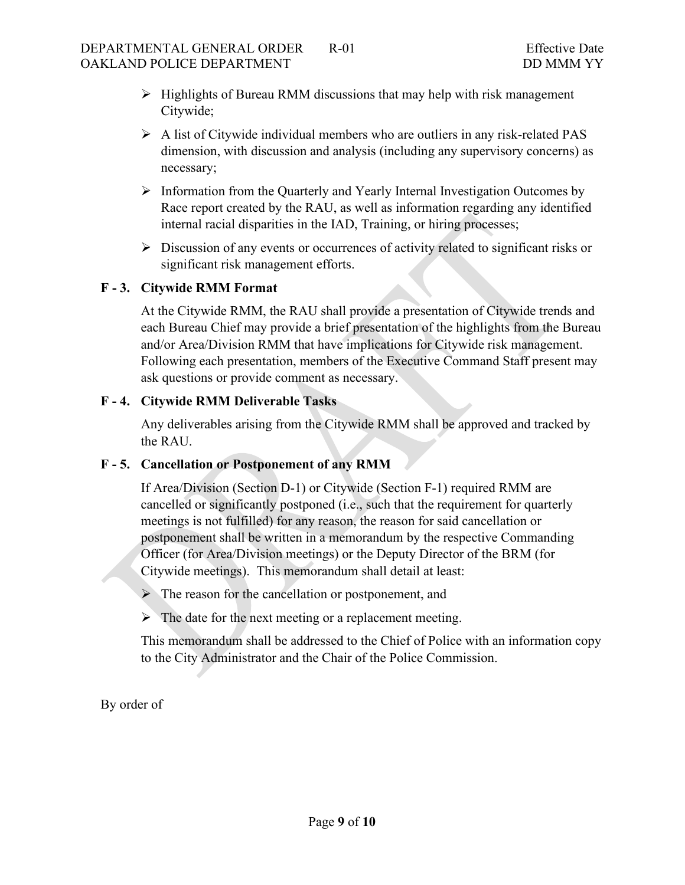- $\triangleright$  Highlights of Bureau RMM discussions that may help with risk management Citywide;
- $\triangleright$  A list of Citywide individual members who are outliers in any risk-related PAS dimension, with discussion and analysis (including any supervisory concerns) as necessary;
- $\triangleright$  Information from the Quarterly and Yearly Internal Investigation Outcomes by Race report created by the RAU, as well as information regarding any identified internal racial disparities in the IAD, Training, or hiring processes;
- $\triangleright$  Discussion of any events or occurrences of activity related to significant risks or significant risk management efforts.

## **F - 3. Citywide RMM Format**

At the Citywide RMM, the RAU shall provide a presentation of Citywide trends and each Bureau Chief may provide a brief presentation of the highlights from the Bureau and/or Area/Division RMM that have implications for Citywide risk management. Following each presentation, members of the Executive Command Staff present may ask questions or provide comment as necessary.

## **F - 4. Citywide RMM Deliverable Tasks**

Any deliverables arising from the Citywide RMM shall be approved and tracked by the RAU.

### **F - 5. Cancellation or Postponement of any RMM**

If Area/Division (Section D-1) or Citywide (Section F-1) required RMM are cancelled or significantly postponed (i.e., such that the requirement for quarterly meetings is not fulfilled) for any reason, the reason for said cancellation or postponement shall be written in a memorandum by the respective Commanding Officer (for Area/Division meetings) or the Deputy Director of the BRM (for Citywide meetings). This memorandum shall detail at least:

 $\triangleright$  The reason for the cancellation or postponement, and

 $\triangleright$  The date for the next meeting or a replacement meeting.

This memorandum shall be addressed to the Chief of Police with an information copy to the City Administrator and the Chair of the Police Commission.

By order of